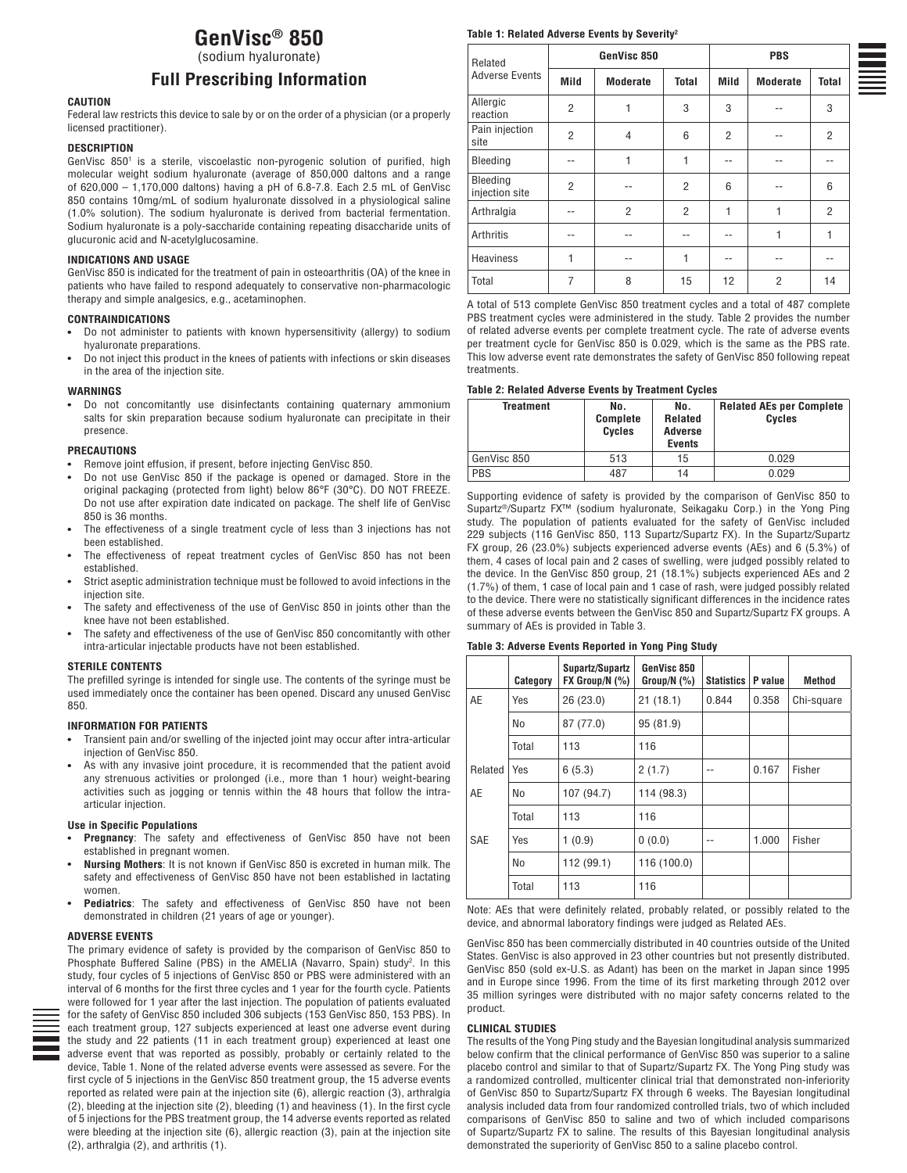# **GenVisc® 850**

(sodium hyaluronate)

# **Full Prescribing Information**

### **CAUTION**

Federal law restricts this device to sale by or on the order of a physician (or a properly licensed practitioner).

#### **DESCRIPTION**

GenVisc 850<sup>1</sup> is a sterile, viscoelastic non-pyrogenic solution of purified, high molecular weight sodium hyaluronate (average of 850,000 daltons and a range of 620,000 – 1,170,000 daltons) having a pH of 6.8-7.8. Each 2.5 mL of GenVisc 850 contains 10mg/mL of sodium hyaluronate dissolved in a physiological saline (1.0% solution). The sodium hyaluronate is derived from bacterial fermentation. Sodium hyaluronate is a poly-saccharide containing repeating disaccharide units of glucuronic acid and N-acetylglucosamine.

### **INDICATIONS AND USAGE**

GenVisc 850 is indicated for the treatment of pain in osteoarthritis (OA) of the knee in patients who have failed to respond adequately to conservative non-pharmacologic therapy and simple analgesics, e.g., acetaminophen.

### **CONTRAINDICATIONS**

- Do not administer to patients with known hypersensitivity (allergy) to sodium hyaluronate preparations.
- Do not inject this product in the knees of patients with infections or skin diseases in the area of the injection site.

#### **WARNINGS**

Do not concomitantly use disinfectants containing quaternary ammonium salts for skin preparation because sodium hyaluronate can precipitate in their presence.

#### **PRECAUTIONS**

- Remove joint effusion, if present, before injecting GenVisc 850.
- Do not use GenVisc 850 if the package is opened or damaged. Store in the original packaging (protected from light) below 86°F (30°C). DO NOT FREEZE. Do not use after expiration date indicated on package. The shelf life of GenVisc 850 is 36 months.
- The effectiveness of a single treatment cycle of less than 3 injections has not been established.
- The effectiveness of repeat treatment cycles of GenVisc 850 has not been established.
- Strict aseptic administration technique must be followed to avoid infections in the injection site.
- The safety and effectiveness of the use of GenVisc 850 in joints other than the knee have not been established.
- The safety and effectiveness of the use of GenVisc 850 concomitantly with other intra-articular injectable products have not been established.

#### **STERILE CONTENTS**

The prefilled syringe is intended for single use. The contents of the syringe must be used immediately once the container has been opened. Discard any unused GenVisc 850.

### **INFORMATION FOR PATIENTS**

- Transient pain and/or swelling of the injected joint may occur after intra-articular injection of GenVisc 850.
- As with any invasive joint procedure, it is recommended that the patient avoid any strenuous activities or prolonged (i.e., more than 1 hour) weight-bearing activities such as jogging or tennis within the 48 hours that follow the intraarticular injection.

#### **Use in Specific Populations**

- **Pregnancy**: The safety and effectiveness of GenVisc 850 have not been established in pregnant women.
- **Nursing Mothers**: It is not known if GenVisc 850 is excreted in human milk. The safety and effectiveness of GenVisc 850 have not been established in lactating women.
- **Pediatrics**: The safety and effectiveness of GenVisc 850 have not been demonstrated in children (21 years of age or younger).

#### **ADVERSE EVENTS**



The primary evidence of safety is provided by the comparison of GenVisc 850 to Phosphate Buffered Saline (PBS) in the AMELIA (Navarro, Spain) study<sup>2</sup>. In this study, four cycles of 5 injections of GenVisc 850 or PBS were administered with an interval of 6 months for the first three cycles and 1 year for the fourth cycle. Patients were followed for 1 year after the last injection. The population of patients evaluated for the safety of GenVisc 850 included 306 subjects (153 GenVisc 850, 153 PBS). In each treatment group, 127 subjects experienced at least one adverse event during the study and 22 patients (11 in each treatment group) experienced at least one adverse event that was reported as possibly, probably or certainly related to the device, Table 1. None of the related adverse events were assessed as severe. For the first cycle of 5 injections in the GenVisc 850 treatment group, the 15 adverse events reported as related were pain at the injection site (6), allergic reaction (3), arthralgia (2), bleeding at the injection site (2), bleeding (1) and heaviness (1). In the first cycle of 5 injections for the PBS treatment group, the 14 adverse events reported as related were bleeding at the injection site (6), allergic reaction (3), pain at the injection site (2), arthralgia (2), and arthritis (1).

### **Table 1: Related Adverse Events by Severity2**

| Related<br><b>Adverse Events</b> | GenVisc 850    |                 |                | <b>PBS</b>     |                 |                |
|----------------------------------|----------------|-----------------|----------------|----------------|-----------------|----------------|
|                                  | Mild           | <b>Moderate</b> | <b>Total</b>   | Mild           | <b>Moderate</b> | Total          |
| Allergic<br>reaction             | $\overline{2}$ | 1               | 3              | 3              |                 | 3              |
| Pain injection<br>site           | $\overline{2}$ | 4               | 6              | $\overline{2}$ |                 | $\overline{2}$ |
| Bleeding                         | --             | 1               | 1              | --             |                 |                |
| Bleeding<br>injection site       | $\overline{2}$ | --              | $\overline{2}$ | 6              |                 | 6              |
| Arthralgia                       | --             | $\overline{2}$  | $\overline{2}$ | 1              | 1               | 2              |
| Arthritis                        | --             | --              | --             | --             | 1               | 1              |
| <b>Heaviness</b>                 | 1              | --              | 1              | --             |                 | --             |
| Total                            | $\overline{7}$ | 8               | 15             | 12             | $\overline{2}$  | 14             |

A total of 513 complete GenVisc 850 treatment cycles and a total of 487 complete PBS treatment cycles were administered in the study. Table 2 provides the number of related adverse events per complete treatment cycle. The rate of adverse events per treatment cycle for GenVisc 850 is 0.029, which is the same as the PBS rate. This low adverse event rate demonstrates the safety of GenVisc 850 following repeat treatments.

### **Table 2: Related Adverse Events by Treatment Cycles**

| Treatment   | No.<br><b>Complete</b><br><b>Cycles</b> | No.<br><b>Related</b><br>Adverse<br><b>Events</b> | <b>Related AEs per Complete</b><br>Cycles |
|-------------|-----------------------------------------|---------------------------------------------------|-------------------------------------------|
| GenVisc 850 | 513                                     | 15                                                | 0.029                                     |
| <b>PBS</b>  | 487                                     | 14                                                | 0.029                                     |

Supporting evidence of safety is provided by the comparison of GenVisc 850 to Supartz®/Supartz FX™ (sodium hyaluronate, Seikagaku Corp.) in the Yong Ping study. The population of patients evaluated for the safety of GenVisc included 229 subjects (116 GenVisc 850, 113 Supartz/Supartz FX). In the Supartz/Supartz FX group, 26 (23.0%) subjects experienced adverse events (AEs) and 6 (5.3%) of them, 4 cases of local pain and 2 cases of swelling, were judged possibly related to the device. In the GenVisc 850 group, 21 (18.1%) subjects experienced AEs and 2 (1.7%) of them, 1 case of local pain and 1 case of rash, were judged possibly related to the device. There were no statistically significant differences in the incidence rates of these adverse events between the GenVisc 850 and Supartz/Supartz FX groups. A summary of AEs is provided in Table 3.

#### **Table 3: Adverse Events Reported in Yong Ping Study**

|         | Category       | Supartz/Supartz<br>$FX$ Group/N $(\%)$ | GenVisc 850<br>Group/N $(%)$ | Statistics | P value | Method     |
|---------|----------------|----------------------------------------|------------------------------|------------|---------|------------|
| AE      | Yes            | 26(23.0)                               | 21(18.1)                     | 0.844      | 0.358   | Chi-square |
|         | N <sub>0</sub> | 87 (77.0)                              | 95 (81.9)                    |            |         |            |
|         | Total          | 113                                    | 116                          |            |         |            |
| Related | Yes            | 6(5.3)                                 | 2(1.7)                       |            | 0.167   | Fisher     |
| AE      | N <sub>0</sub> | 107 (94.7)                             | 114 (98.3)                   |            |         |            |
|         | Total          | 113                                    | 116                          |            |         |            |
| SAE     | Yes            | 1(0.9)                                 | 0(0.0)                       | --         | 1.000   | Fisher     |
|         | N <sub>0</sub> | 112 (99.1)                             | 116 (100.0)                  |            |         |            |
|         | Total          | 113                                    | 116                          |            |         |            |

Note: AEs that were definitely related, probably related, or possibly related to the device, and abnormal laboratory findings were judged as Related AEs.

GenVisc 850 has been commercially distributed in 40 countries outside of the United States. GenVisc is also approved in 23 other countries but not presently distributed. GenVisc 850 (sold ex-U.S. as Adant) has been on the market in Japan since 1995 and in Europe since 1996. From the time of its first marketing through 2012 over 35 million syringes were distributed with no major safety concerns related to the product.

#### **CLINICAL STUDIES**

The results of the Yong Ping study and the Bayesian longitudinal analysis summarized below confirm that the clinical performance of GenVisc 850 was superior to a saline placebo control and similar to that of Supartz/Supartz FX. The Yong Ping study was a randomized controlled, multicenter clinical trial that demonstrated non-inferiority of GenVisc 850 to Supartz/Supartz FX through 6 weeks. The Bayesian longitudinal analysis included data from four randomized controlled trials, two of which included comparisons of GenVisc 850 to saline and two of which included comparisons of Supartz/Supartz FX to saline. The results of this Bayesian longitudinal analysis demonstrated the superiority of GenVisc 850 to a saline placebo control.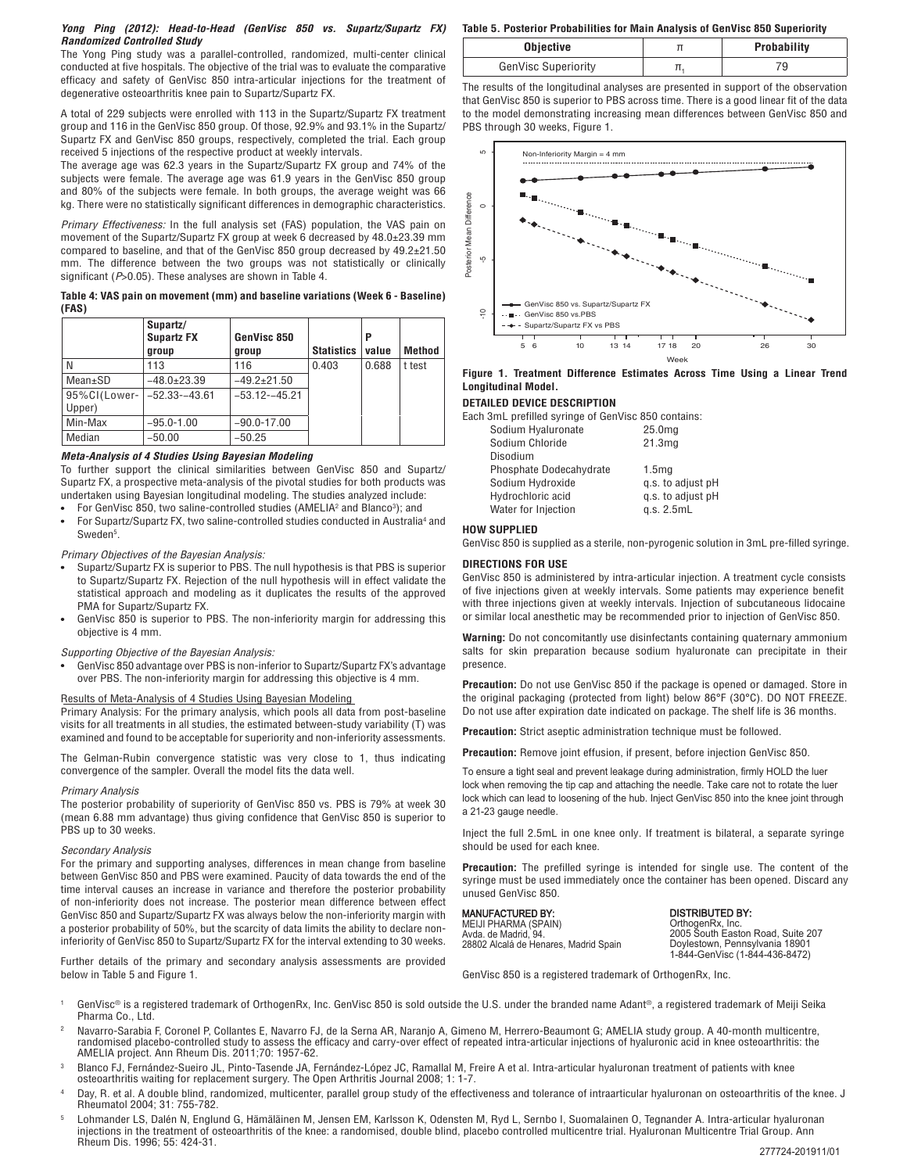### **Yong Ping (2012): Head-to-Head (GenVisc 850 vs. Supartz/Supartz FX) Randomized Controlled Study**

The Yong Ping study was a parallel-controlled, randomized, multi-center clinical conducted at five hospitals. The objective of the trial was to evaluate the comparative efficacy and safety of GenVisc 850 intra-articular injections for the treatment of degenerative osteoarthritis knee pain to Supartz/Supartz FX.

A total of 229 subjects were enrolled with 113 in the Supartz/Supartz FX treatment group and 116 in the GenVisc 850 group. Of those, 92.9% and 93.1% in the Supartz/ Supartz FX and GenVisc 850 groups, respectively, completed the trial. Each group received 5 injections of the respective product at weekly intervals.

The average age was 62.3 years in the Supartz/Supartz FX group and 74% of the subjects were female. The average age was 61.9 years in the GenVisc 850 group and 80% of the subjects were female. In both groups, the average weight was 66 kg. There were no statistically significant differences in demographic characteristics.

Primary Effectiveness: In the full analysis set (FAS) population, the VAS pain on movement of the Supartz/Supartz FX group at week 6 decreased by 48.0±23.39 mm compared to baseline, and that of the GenVisc 850 group decreased by 49.2±21.50 mm. The difference between the two groups was not statistically or clinically significant (P>0.05). These analyses are shown in Table 4.

**Table 4: VAS pain on movement (mm) and baseline variations (Week 6 - Baseline) (FAS)**

| ,            |                                        |                      |                   |            |        |
|--------------|----------------------------------------|----------------------|-------------------|------------|--------|
|              | Supartz/<br><b>Supartz FX</b><br>group | GenVisc 850<br>group | <b>Statistics</b> | Р<br>value | Method |
| N            | 113                                    | 116                  | 0.403             | 0.688      | t test |
| Mean±SD      | $-48.0+23.39$                          | $-49.2+21.50$        |                   |            |        |
| 95%CI(Lower- | $-52.33 - 43.61$                       | $-53.12 - 45.21$     |                   |            |        |
| Upper)       |                                        |                      |                   |            |        |
| Min-Max      | $-95.0 - 1.00$                         | $-90.0 - 17.00$      |                   |            |        |
| Median       | $-50.00$                               | $-50.25$             |                   |            |        |

### **Meta-Analysis of 4 Studies Using Bayesian Modeling**

To further support the clinical similarities between GenVisc 850 and Supartz/ Supartz FX, a prospective meta-analysis of the pivotal studies for both products was undertaken using Bayesian longitudinal modeling. The studies analyzed include:

- For GenVisc 850, two saline-controlled studies (AMELIA<sup>2</sup> and Blanco<sup>3</sup>); and
- For Supartz/Supartz FX, two saline-controlled studies conducted in Australia<sup>4</sup> and Sweden<sup>5</sup>.

### Primary Objectives of the Bayesian Analysis:

- Supartz/Supartz FX is superior to PBS. The null hypothesis is that PBS is superior to Supartz/Supartz FX. Rejection of the null hypothesis will in effect validate the statistical approach and modeling as it duplicates the results of the approved PMA for Supartz/Supartz FX.
- GenVisc 850 is superior to PBS. The non-inferiority margin for addressing this objective is 4 mm.

### Supporting Objective of the Bayesian Analysis:

 $\bullet$ GenVisc 850 advantage over PBS is non-inferior to Supartz/Supartz FX's advantage over PBS. The non-inferiority margin for addressing this objective is 4 mm.

### Results of Meta-Analysis of 4 Studies Using Bayesian Modeling

Primary Analysis: For the primary analysis, which pools all data from post-baseline visits for all treatments in all studies, the estimated between-study variability (T) was examined and found to be acceptable for superiority and non-inferiority assessments.

The Gelman-Rubin convergence statistic was very close to 1, thus indicating convergence of the sampler. Overall the model fits the data well.

#### Primary Analysis

The posterior probability of superiority of GenVisc 850 vs. PBS is 79% at week 30 (mean 6.88 mm advantage) thus giving confidence that GenVisc 850 is superior to PBS up to 30 weeks.

#### Secondary Analysis

For the primary and supporting analyses, differences in mean change from baseline between GenVisc 850 and PBS were examined. Paucity of data towards the end of the time interval causes an increase in variance and therefore the posterior probability of non-inferiority does not increase. The posterior mean difference between effect GenVisc 850 and Supartz/Supartz FX was always below the non-inferiority margin with a posterior probability of 50%, but the scarcity of data limits the ability to declare noninferiority of GenVisc 850 to Supartz/Supartz FX for the interval extending to 30 weeks.

Further details of the primary and secondary analysis assessments are provided below in Table 5 and Figure 1.

### **Table 5. Posterior Probabilities for Main Analysis of GenVisc 850 Superiority**

| Objective                  | <b>Probability</b> |
|----------------------------|--------------------|
| <b>GenVisc Superiority</b> |                    |

The results of the longitudinal analyses are presented in support of the observation that GenVisc 850 is superior to PBS across time. There is a good linear fit of the data to the model demonstrating increasing mean differences between GenVisc 850 and PBS through 30 weeks, Figure 1.



### **Figure 1. Treatment Difference Estimates Across Time Using a Linear Trend Longitudinal Model.**

### **DETAILED DEVICE DESCRIPTION**

Each 3mL prefilled syringe of GenVisc 850 contains:

| Sodium Hyaluronate      | 25.0 <sub>ma</sub> |
|-------------------------|--------------------|
| Sodium Chloride         | 21.3 <sub>mg</sub> |
| Disodium                |                    |
| Phosphate Dodecahydrate | 1.5 <sub>mg</sub>  |
| Sodium Hydroxide        | q.s. to adjust pH  |
| Hydrochloric acid       | q.s. to adjust pH  |
| Water for Injection     | q.s. 2.5mL         |
|                         |                    |

### **HOW SUPPLIED**

GenVisc 850 is supplied as a sterile, non-pyrogenic solution in 3mL pre-filled syringe.

### **DIRECTIONS FOR USE**

GenVisc 850 is administered by intra-articular injection. A treatment cycle consists of five injections given at weekly intervals. Some patients may experience benefit with three injections given at weekly intervals. Injection of subcutaneous lidocaine or similar local anesthetic may be recommended prior to injection of GenVisc 850.

**Warning:** Do not concomitantly use disinfectants containing quaternary ammonium salts for skin preparation because sodium hyaluronate can precipitate in their presence.

**Precaution:** Do not use GenVisc 850 if the package is opened or damaged. Store in the original packaging (protected from light) below 86°F (30°C). DO NOT FREEZE. Do not use after expiration date indicated on package. The shelf life is 36 months.

**Precaution:** Strict aseptic administration technique must be followed.

**Precaution:** Remove joint effusion, if present, before injection GenVisc 850.

To ensure a tight seal and prevent leakage during administration, firmly HOLD the luer lock when removing the tip cap and attaching the needle. Take care not to rotate the luer lock which can lead to loosening of the hub. Inject GenVisc 850 into the knee joint through a 21-23 gauge needle.

Inject the full 2.5mL in one knee only. If treatment is bilateral, a separate syringe should be used for each knee.

**Precaution:** The prefilled syringe is intended for single use. The content of the syringe must be used immediately once the container has been opened. Discard any unused GenVisc 850.

## MANUFACTURED BY:

MEIJI PHARMA (SPAIN) Avda. de Madrid, 94. 28802 Alcalá de Henares, Madrid Spain DISTRIBUTED BY:

OrthogenRx, Inc. 2005 South Easton Road, Suite 207 Doylestown, Pennsylvania 18901 1-844-GenVisc (1-844-436-8472)

GenVisc 850 is a registered trademark of OrthogenRx, Inc.

- 1 GenVisc® is a registered trademark of OrthogenRx, Inc. GenVisc 850 is sold outside the U.S. under the branded name Adant®, a registered trademark of Meiji Seika Pharma Co., Ltd.
- 2 Navarro-Sarabia F, Coronel P, Collantes E, Navarro FJ, de la Serna AR, Naranjo A, Gimeno M, Herrero-Beaumont G; AMELIA study group. A 40-month multicentre, randomised placebo-controlled study to assess the efficacy and carry-over effect of repeated intra-articular injections of hyaluronic acid in knee osteoarthritis: the AMELIA project. Ann Rheum Dis. 2011;70: 1957-62.
- 3 Blanco FJ, Fernández-Sueiro JL, Pinto-Tasende JA, Fernández-López JC, Ramallal M, Freire A et al. Intra-articular hyaluronan treatment of patients with knee osteoarthritis waiting for replacement surgery. The Open Arthritis Journal 2008; 1: 1-7.
- 4 Day, R. et al. A double blind, randomized, multicenter, parallel group study of the effectiveness and tolerance of intraarticular hyaluronan on osteoarthritis of the knee. J Rheumatol 2004; 31: 755-782.
- 5 Lohmander LS, Dalén N, Englund G, Hämäläinen M, Jensen EM, Karlsson K, Odensten M, Ryd L, Sernbo I, Suomalainen O, Tegnander A. Intra-articular hyaluronan injections in the treatment of osteoarthritis of the knee: a randomised, double blind, placebo controlled multicentre trial. Hyaluronan Multicentre Trial Group. Ann Rheum Dis. 1996; 55: 424-31.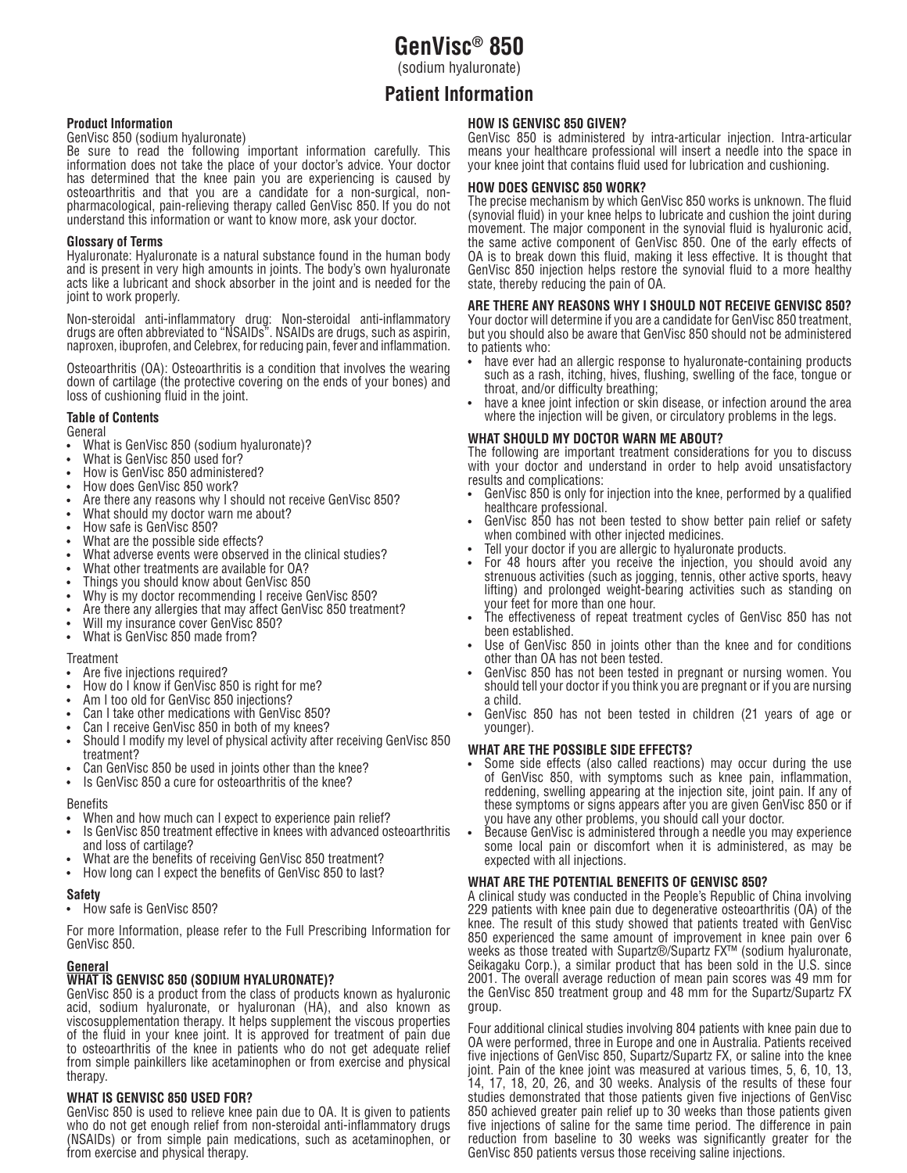# **GenVisc® 850**

(sodium hyaluronate)

# **Patient Information**

# **Product Information**

GenVisc 850 (sodium hyaluronate)

Be sure to read the following important information carefully. This information does not take the place of your doctor's advice. Your doctor has determined that the knee pain you are experiencing is caused by osteoarthritis and that you are a candidate for a non-surgical, nonpharmacological, pain-relieving therapy called GenVisc 850. If you do not understand this information or want to know more, ask your doctor.

## **Glossary of Terms**

Hyaluronate: Hyaluronate is a natural substance found in the human body and is present in very high amounts in joints. The body's own hyaluronate acts like a lubricant and shock absorber in the joint and is needed for the joint to work properly.

Non-steroidal anti-inflammatory drug: Non-steroidal anti-inflammatory drugs are often abbreviated to "NSAIDs". NSAIDs are drugs, such as aspirin, naproxen, ibuprofen, and Celebrex, for reducing pain, fever and inflammation.

Osteoarthritis (OA): Osteoarthritis is a condition that involves the wearing down of cartilage (the protective covering on the ends of your bones) and loss of cushioning fluid in the joint.

# **Table of Contents**

General

- What is GenVisc 850 (sodium hyaluronate)?
- What is GenVisc 850 used for?
- How is GenVisc 850 administered?
- How does GenVisc 850 work?
- Are there any reasons why I should not receive GenVisc 850?
- What should my doctor warn me about?
- How safe is GenVisc 850?
- What are the possible side effects?
- What adverse events were observed in the clinical studies?
- What other treatments are available for OA?
- Things you should know about GenVisc 850
- Why is my doctor recommending I receive GenVisc 850?
- Are there any allergies that may affect GenVisc 850 treatment?
- Will my insurance cover GenVisc 850?
- What is GenVisc 850 made from?

### Treatment

- Are five injections required?
- How do I know if GenVisc 850 is right for me?
- Am I too old for GenVisc 850 injections?
- Can I take other medications with GenVisc 850?
- Can I receive GenVisc 850 in both of my knees?
- Should I modify my level of physical activity after receiving GenVisc 850 treatment?
- Can GenVisc 850 be used in joints other than the knee?
- Is GenVisc 850 a cure for osteoarthritis of the knee?

### **Benefits**

- When and how much can I expect to experience pain relief?
- Is GenVisc 850 treatment effective in knees with advanced osteoarthritis and loss of cartilage?
- What are the benefits of receiving GenVisc 850 treatment?
- How long can I expect the benefits of GenVisc 850 to last?

# **Safety**

How safe is GenVisc 850?

For more Information, please refer to the Full Prescribing Information for GenVisc 850.

# **General**

# **WHAT IS GENVISC 850 (SODIUM HYALURONATE)?**

GenVisc 850 is a product from the class of products known as hyaluronic acid, sodium hyaluronate, or hyaluronan (HA), and also known as viscosupplementation therapy. It helps supplement the viscous properties of the fluid in your knee joint. It is approved for treatment of pain due to osteoarthritis of the knee in patients who do not get adequate relief from simple painkillers like acetaminophen or from exercise and physical therapy.

# **WHAT IS GENVISC 850 USED FOR?**

GenVisc 850 is used to relieve knee pain due to OA. It is given to patients who do not get enough relief from non-steroidal anti-inflammatory drugs (NSAIDs) or from simple pain medications, such as acetaminophen, or from exercise and physical therapy.

## **HOW IS GENVISC 850 GIVEN?**

GenVisc 850 is administered by intra-articular injection. Intra-articular means your healthcare professional will insert a needle into the space in your knee joint that contains fluid used for lubrication and cushioning.

### **HOW DOES GENVISC 850 WORK?**

The precise mechanism by which GenVisc 850 works is unknown. The fluid (synovial fluid) in your knee helps to lubricate and cushion the joint during movement. The major component in the synovial fluid is hyaluronic acid, the same active component of GenVisc 850. One of the early effects of OA is to break down this fluid, making it less effective. It is thought that GenVisc 850 injection helps restore the synovial fluid to a more healthy state, thereby reducing the pain of OA.

# **ARE THERE ANY REASONS WHY I SHOULD NOT RECEIVE GENVISC 850?**

Your doctor will determine if you are a candidate for GenVisc 850 treatment, but you should also be aware that GenVisc 850 should not be administered to patients who:

- have ever had an allergic response to hyaluronate-containing products such as a rash, itching, hives, flushing, swelling of the face, tongue or throat, and/or difficulty breathing;
- have a knee joint infection or skin disease, or infection around the area where the injection will be given, or circulatory problems in the legs.

### **WHAT SHOULD MY DOCTOR WARN ME ABOUT?**

The following are important treatment considerations for you to discuss with your doctor and understand in order to help avoid unsatisfactory results and complications:

- GenVisc 850 is only for injection into the knee, performed by a qualified healthcare professional.
- GenVisc 850 has not been tested to show better pain relief or safety when combined with other injected medicines.
- Tell your doctor if you are allergic to hyaluronate products.
- For 48 hours after you receive the injection, you should avoid any strenuous activities (such as jogging, tennis, other active sports, heavy lifting) and prolonged weight-bearing activities such as standing on your feet for more than one hour.
- The effectiveness of repeat treatment cycles of GenVisc 850 has not been established.
- Use of GenVisc 850 in joints other than the knee and for conditions other than OA has not been tested.
- GenVisc 850 has not been tested in pregnant or nursing women. You should tell your doctor if you think you are pregnant or if you are nursing a child.
- GenVisc 850 has not been tested in children (21 years of age or younger).

# **WHAT ARE THE POSSIBLE SIDE EFFECTS?**

- Some side effects (also called reactions) may occur during the use of GenVisc 850, with symptoms such as knee pain, inflammation, reddening, swelling appearing at the injection site, joint pain. If any of these symptoms or signs appears after you are given GenVisc 850 or if you have any other problems, you should call your doctor.
- Because GenVisc is administered through a needle you may experience some local pain or discomfort when it is administered, as may be expected with all injections.

# **WHAT ARE THE POTENTIAL BENEFITS OF GENVISC 850?**

A clinical study was conducted in the People's Republic of China involving 229 patients with knee pain due to degenerative osteoarthritis (OA) of the knee. The result of this study showed that patients treated with GenVisc 850 experienced the same amount of improvement in knee pain over 6 weeks as those treated with Supartz®/Supartz FX™ (sodium hyaluronate, Seikagaku Corp.), a similar product that has been sold in the U.S. since 2001. The overall average reduction of mean pain scores was 49 mm for the GenVisc 850 treatment group and 48 mm for the Supartz/Supartz FX group.

Four additional clinical studies involving 804 patients with knee pain due to OA were performed, three in Europe and one in Australia. Patients received five injections of GenVisc 850, Supartz/Supartz FX, or saline into the knee joint. Pain of the knee joint was measured at various times, 5, 6, 10, 13, 14, 17, 18, 20, 26, and 30 weeks. Analysis of the results of these four studies demonstrated that those patients given five injections of GenVisc 850 achieved greater pain relief up to 30 weeks than those patients given five injections of saline for the same time period. The difference in pain reduction from baseline to 30 weeks was significantly greater for the GenVisc 850 patients versus those receiving saline injections.